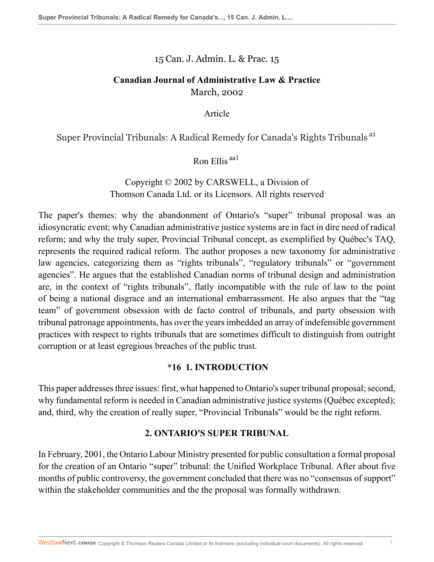15 Can. J. Admin. L. & Prac. 15

## **Canadian Journal of Administrative Law & Practice** March, 2002

Article

Super Provincial Tribunals: A Radical Remedy for Canada's Rights Tribunals a1

Ron Ellis aa1

# Copyright © 2002 by CARSWELL, a Division of Thomson Canada Ltd. or its Licensors. All rights reserved

The paper's themes: why the abandonment of Ontario's "super" tribunal proposal was an idiosyncratic event; why Canadian administrative justice systems are in fact in dire need of radical reform; and why the truly super, Provincial Tribunal concept, as exemplified by Québec's TAQ, represents the required radical reform. The author proposes a new taxonomy for administrative law agencies, categorizing them as "rights tribunals", "regulatory tribunals" or "government agencies". He argues that the established Canadian norms of tribunal design and administration are, in the context of "rights tribunals", flatly incompatible with the rule of law to the point of being a national disgrace and an international embarrassment. He also argues that the "tag team" of government obsession with de facto control of tribunals, and party obsession with tribunal patronage appointments, has over the years imbedded an array of indefensible government practices with respect to rights tribunals that are sometimes difficult to distinguish from outright corruption or at least egregious breaches of the public trust.

## **\*16 1. INTRODUCTION**

This paper addresses three issues: first, what happened to Ontario's super tribunal proposal; second, why fundamental reform is needed in Canadian administrative justice systems (Québec excepted); and, third, why the creation of really super, "Provincial Tribunals" would be the right reform.

## **2. ONTARIO'S SUPER TRIBUNAL**

In February, 2001, the Ontario Labour Ministry presented for public consultation a formal proposal for the creation of an Ontario "super" tribunal: the Unified Workplace Tribunal. After about five months of public controversy, the government concluded that there was no "consensus of support" within the stakeholder communities and the the proposal was formally withdrawn.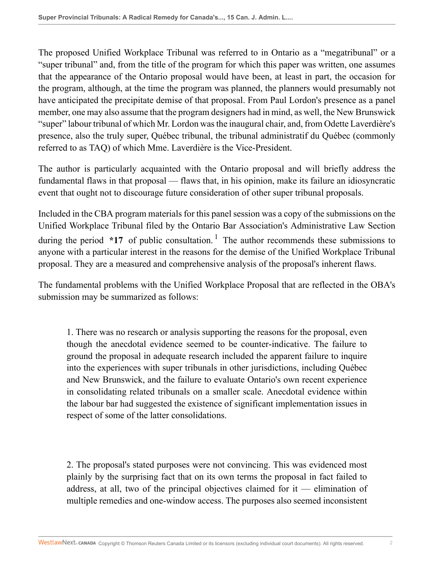The proposed Unified Workplace Tribunal was referred to in Ontario as a "megatribunal" or a "super tribunal" and, from the title of the program for which this paper was written, one assumes that the appearance of the Ontario proposal would have been, at least in part, the occasion for the program, although, at the time the program was planned, the planners would presumably not have anticipated the precipitate demise of that proposal. From Paul Lordon's presence as a panel member, one may also assume that the program designers had in mind, as well, the New Brunswick "super" labour tribunal of which Mr. Lordon was the inaugural chair, and, from Odette Laverdière's presence, also the truly super, Québec tribunal, the tribunal administratif du Québec (commonly referred to as TAQ) of which Mme. Laverdière is the Vice-President.

The author is particularly acquainted with the Ontario proposal and will briefly address the fundamental flaws in that proposal — flaws that, in his opinion, make its failure an idiosyncratic event that ought not to discourage future consideration of other super tribunal proposals.

Included in the CBA program materials for this panel session was a copy of the submissions on the Unified Workplace Tribunal filed by the Ontario Bar Association's Administrative Law Section during the period  $*17$  of public consultation.<sup>1</sup> The author recommends these submissions to anyone with a particular interest in the reasons for the demise of the Unified Workplace Tribunal proposal. They are a measured and comprehensive analysis of the proposal's inherent flaws.

The fundamental problems with the Unified Workplace Proposal that are reflected in the OBA's submission may be summarized as follows:

1. There was no research or analysis supporting the reasons for the proposal, even though the anecdotal evidence seemed to be counter-indicative. The failure to ground the proposal in adequate research included the apparent failure to inquire into the experiences with super tribunals in other jurisdictions, including Québec and New Brunswick, and the failure to evaluate Ontario's own recent experience in consolidating related tribunals on a smaller scale. Anecdotal evidence within the labour bar had suggested the existence of significant implementation issues in respect of some of the latter consolidations.

2. The proposal's stated purposes were not convincing. This was evidenced most plainly by the surprising fact that on its own terms the proposal in fact failed to address, at all, two of the principal objectives claimed for it — elimination of multiple remedies and one-window access. The purposes also seemed inconsistent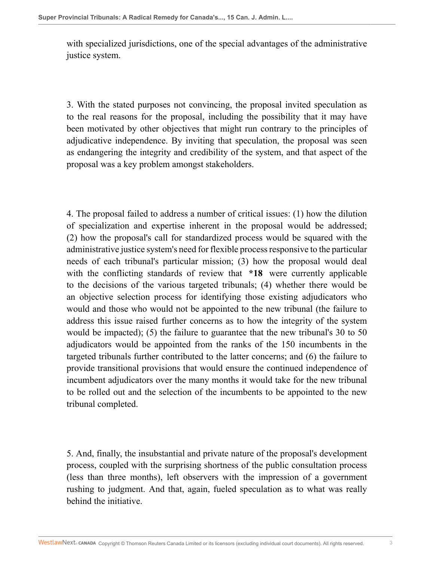with specialized jurisdictions, one of the special advantages of the administrative justice system.

3. With the stated purposes not convincing, the proposal invited speculation as to the real reasons for the proposal, including the possibility that it may have been motivated by other objectives that might run contrary to the principles of adjudicative independence. By inviting that speculation, the proposal was seen as endangering the integrity and credibility of the system, and that aspect of the proposal was a key problem amongst stakeholders.

4. The proposal failed to address a number of critical issues: (1) how the dilution of specialization and expertise inherent in the proposal would be addressed; (2) how the proposal's call for standardized process would be squared with the administrative justice system's need for flexible process responsive to the particular needs of each tribunal's particular mission; (3) how the proposal would deal with the conflicting standards of review that **\*18** were currently applicable to the decisions of the various targeted tribunals; (4) whether there would be an objective selection process for identifying those existing adjudicators who would and those who would not be appointed to the new tribunal (the failure to address this issue raised further concerns as to how the integrity of the system would be impacted); (5) the failure to guarantee that the new tribunal's 30 to 50 adjudicators would be appointed from the ranks of the 150 incumbents in the targeted tribunals further contributed to the latter concerns; and (6) the failure to provide transitional provisions that would ensure the continued independence of incumbent adjudicators over the many months it would take for the new tribunal to be rolled out and the selection of the incumbents to be appointed to the new tribunal completed.

5. And, finally, the insubstantial and private nature of the proposal's development process, coupled with the surprising shortness of the public consultation process (less than three months), left observers with the impression of a government rushing to judgment. And that, again, fueled speculation as to what was really behind the initiative.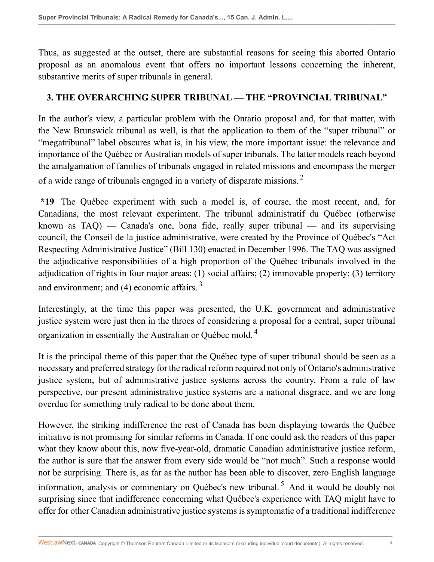Thus, as suggested at the outset, there are substantial reasons for seeing this aborted Ontario proposal as an anomalous event that offers no important lessons concerning the inherent, substantive merits of super tribunals in general.

#### **3. THE OVERARCHING SUPER TRIBUNAL — THE "PROVINCIAL TRIBUNAL"**

In the author's view, a particular problem with the Ontario proposal and, for that matter, with the New Brunswick tribunal as well, is that the application to them of the "super tribunal" or "megatribunal" label obscures what is, in his view, the more important issue: the relevance and importance of the Québec or Australian models of super tribunals. The latter models reach beyond the amalgamation of families of tribunals engaged in related missions and encompass the merger of a wide range of tribunals engaged in a variety of disparate missions.<sup>2</sup>

**\*19** The Québec experiment with such a model is, of course, the most recent, and, for Canadians, the most relevant experiment. The tribunal administratif du Québec (otherwise known as  $TAQ$ ) — Canada's one, bona fide, really super tribunal — and its supervising council, the Conseil de la justice administrative, were created by the Province of Québec's "Act Respecting Administrative Justice" (Bill 130) enacted in December 1996. The TAQ was assigned the adjudicative responsibilities of a high proportion of the Québec tribunals involved in the adjudication of rights in four major areas: (1) social affairs; (2) immovable property; (3) territory and environment; and  $(4)$  economic affairs.<sup>3</sup>

Interestingly, at the time this paper was presented, the U.K. government and administrative justice system were just then in the throes of considering a proposal for a central, super tribunal organization in essentially the Australian or Québec mold. <sup>4</sup>

It is the principal theme of this paper that the Québec type of super tribunal should be seen as a necessary and preferred strategy for the radical reform required not only of Ontario's administrative justice system, but of administrative justice systems across the country. From a rule of law perspective, our present administrative justice systems are a national disgrace, and we are long overdue for something truly radical to be done about them.

However, the striking indifference the rest of Canada has been displaying towards the Québec initiative is not promising for similar reforms in Canada. If one could ask the readers of this paper what they know about this, now five-year-old, dramatic Canadian administrative justice reform, the author is sure that the answer from every side would be "not much". Such a response would not be surprising. There is, as far as the author has been able to discover, zero English language information, analysis or commentary on Québec's new tribunal.<sup>5</sup> And it would be doubly not surprising since that indifference concerning what Québec's experience with TAQ might have to offer for other Canadian administrative justice systems is symptomatic of a traditional indifference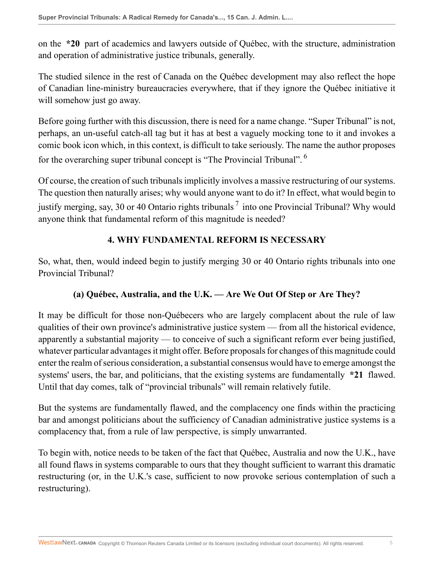on the **\*20** part of academics and lawyers outside of Québec, with the structure, administration and operation of administrative justice tribunals, generally.

The studied silence in the rest of Canada on the Québec development may also reflect the hope of Canadian line-ministry bureaucracies everywhere, that if they ignore the Québec initiative it will somehow just go away.

Before going further with this discussion, there is need for a name change. "Super Tribunal" is not, perhaps, an un-useful catch-all tag but it has at best a vaguely mocking tone to it and invokes a comic book icon which, in this context, is difficult to take seriously. The name the author proposes for the overarching super tribunal concept is "The Provincial Tribunal". <sup>6</sup>

Of course, the creation of such tribunals implicitly involves a massive restructuring of our systems. The question then naturally arises; why would anyone want to do it? In effect, what would begin to justify merging, say, 30 or 40 Ontario rights tribunals  $^7$  into one Provincial Tribunal? Why would anyone think that fundamental reform of this magnitude is needed?

## **4. WHY FUNDAMENTAL REFORM IS NECESSARY**

So, what, then, would indeed begin to justify merging 30 or 40 Ontario rights tribunals into one Provincial Tribunal?

## **(a) Québec, Australia, and the U.K. — Are We Out Of Step or Are They?**

It may be difficult for those non-Québecers who are largely complacent about the rule of law qualities of their own province's administrative justice system — from all the historical evidence, apparently a substantial majority — to conceive of such a significant reform ever being justified, whatever particular advantages it might offer. Before proposals for changes of this magnitude could enter the realm of serious consideration, a substantial consensus would have to emerge amongst the systems' users, the bar, and politicians, that the existing systems are fundamentally **\*21** flawed. Until that day comes, talk of "provincial tribunals" will remain relatively futile.

But the systems are fundamentally flawed, and the complacency one finds within the practicing bar and amongst politicians about the sufficiency of Canadian administrative justice systems is a complacency that, from a rule of law perspective, is simply unwarranted.

To begin with, notice needs to be taken of the fact that Québec, Australia and now the U.K., have all found flaws in systems comparable to ours that they thought sufficient to warrant this dramatic restructuring (or, in the U.K.'s case, sufficient to now provoke serious contemplation of such a restructuring).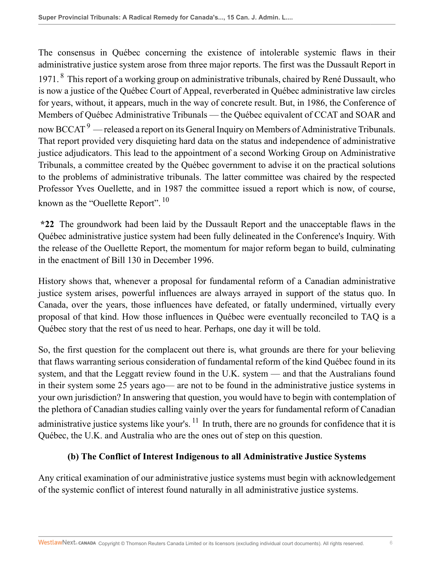The consensus in Québec concerning the existence of intolerable systemic flaws in their administrative justice system arose from three major reports. The first was the Dussault Report in 1971. <sup>8</sup> This report of a working group on administrative tribunals, chaired by René Dussault, who is now a justice of the Québec Court of Appeal, reverberated in Québec administrative law circles for years, without, it appears, much in the way of concrete result. But, in 1986, the Conference of Members of Québec Administrative Tribunals — the Québec equivalent of CCAT and SOAR and now BCCAT  $^9$  — released a report on its General Inquiry on Members of Administrative Tribunals. That report provided very disquieting hard data on the status and independence of administrative justice adjudicators. This lead to the appointment of a second Working Group on Administrative Tribunals, a committee created by the Québec government to advise it on the practical solutions to the problems of administrative tribunals. The latter committee was chaired by the respected Professor Yves Ouellette, and in 1987 the committee issued a report which is now, of course, known as the "Ouellette Report".<sup>10</sup>

**\*22** The groundwork had been laid by the Dussault Report and the unacceptable flaws in the Québec administrative justice system had been fully delineated in the Conference's Inquiry. With the release of the Ouellette Report, the momentum for major reform began to build, culminating in the enactment of Bill 130 in December 1996.

History shows that, whenever a proposal for fundamental reform of a Canadian administrative justice system arises, powerful influences are always arrayed in support of the status quo. In Canada, over the years, those influences have defeated, or fatally undermined, virtually every proposal of that kind. How those influences in Québec were eventually reconciled to TAQ is a Québec story that the rest of us need to hear. Perhaps, one day it will be told.

So, the first question for the complacent out there is, what grounds are there for your believing that flaws warranting serious consideration of fundamental reform of the kind Québec found in its system, and that the Leggatt review found in the U.K. system — and that the Australians found in their system some 25 years ago— are not to be found in the administrative justice systems in your own jurisdiction? In answering that question, you would have to begin with contemplation of the plethora of Canadian studies calling vainly over the years for fundamental reform of Canadian administrative justice systems like your's.  $^{11}$  In truth, there are no grounds for confidence that it is Québec, the U.K. and Australia who are the ones out of step on this question.

## **(b) The Conflict of Interest Indigenous to all Administrative Justice Systems**

Any critical examination of our administrative justice systems must begin with acknowledgement of the systemic conflict of interest found naturally in all administrative justice systems.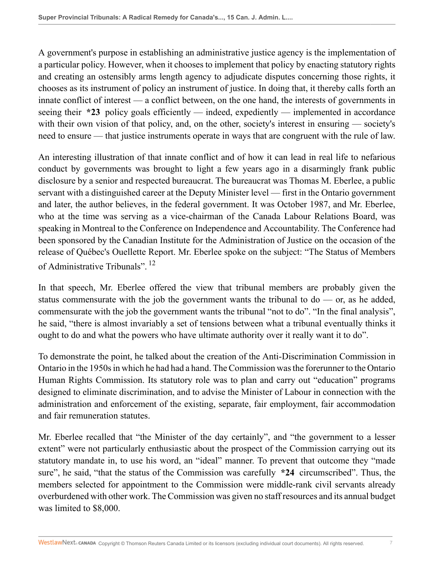A government's purpose in establishing an administrative justice agency is the implementation of a particular policy. However, when it chooses to implement that policy by enacting statutory rights and creating an ostensibly arms length agency to adjudicate disputes concerning those rights, it chooses as its instrument of policy an instrument of justice. In doing that, it thereby calls forth an innate conflict of interest — a conflict between, on the one hand, the interests of governments in seeing their **\*23** policy goals efficiently — indeed, expediently — implemented in accordance with their own vision of that policy, and, on the other, society's interest in ensuring — society's need to ensure — that justice instruments operate in ways that are congruent with the rule of law.

An interesting illustration of that innate conflict and of how it can lead in real life to nefarious conduct by governments was brought to light a few years ago in a disarmingly frank public disclosure by a senior and respected bureaucrat. The bureaucrat was Thomas M. Eberlee, a public servant with a distinguished career at the Deputy Minister level — first in the Ontario government and later, the author believes, in the federal government. It was October 1987, and Mr. Eberlee, who at the time was serving as a vice-chairman of the Canada Labour Relations Board, was speaking in Montreal to the Conference on Independence and Accountability. The Conference had been sponsored by the Canadian Institute for the Administration of Justice on the occasion of the release of Québec's Ouellette Report. Mr. Eberlee spoke on the subject: "The Status of Members of Administrative Tribunals".<sup>12</sup>

In that speech, Mr. Eberlee offered the view that tribunal members are probably given the status commensurate with the job the government wants the tribunal to  $d\sigma$  — or, as he added, commensurate with the job the government wants the tribunal "not to do". "In the final analysis", he said, "there is almost invariably a set of tensions between what a tribunal eventually thinks it ought to do and what the powers who have ultimate authority over it really want it to do".

To demonstrate the point, he talked about the creation of the Anti-Discrimination Commission in Ontario in the 1950s in which he had had a hand. The Commission was the forerunner to the Ontario Human Rights Commission. Its statutory role was to plan and carry out "education" programs designed to eliminate discrimination, and to advise the Minister of Labour in connection with the administration and enforcement of the existing, separate, fair employment, fair accommodation and fair remuneration statutes.

Mr. Eberlee recalled that "the Minister of the day certainly", and "the government to a lesser extent" were not particularly enthusiastic about the prospect of the Commission carrying out its statutory mandate in, to use his word, an "ideal" manner. To prevent that outcome they "made sure", he said, "that the status of the Commission was carefully **\*24** circumscribed". Thus, the members selected for appointment to the Commission were middle-rank civil servants already overburdened with other work. The Commission was given no staff resources and its annual budget was limited to \$8,000.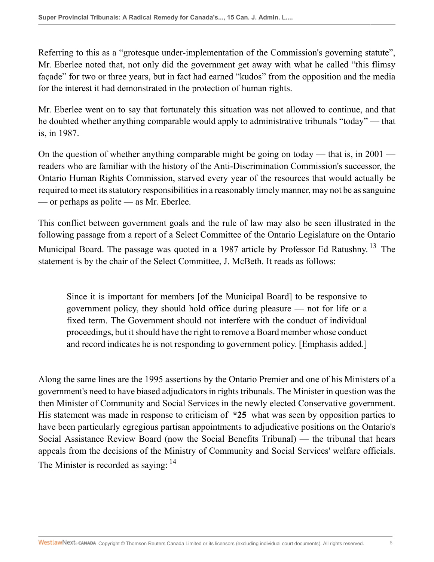Referring to this as a "grotesque under-implementation of the Commission's governing statute", Mr. Eberlee noted that, not only did the government get away with what he called "this flimsy façade" for two or three years, but in fact had earned "kudos" from the opposition and the media for the interest it had demonstrated in the protection of human rights.

Mr. Eberlee went on to say that fortunately this situation was not allowed to continue, and that he doubted whether anything comparable would apply to administrative tribunals "today" — that is, in 1987.

On the question of whether anything comparable might be going on today — that is, in  $2001$  readers who are familiar with the history of the Anti-Discrimination Commission's successor, the Ontario Human Rights Commission, starved every year of the resources that would actually be required to meet its statutory responsibilities in a reasonably timely manner, may not be as sanguine — or perhaps as polite — as Mr. Eberlee.

This conflict between government goals and the rule of law may also be seen illustrated in the following passage from a report of a Select Committee of the Ontario Legislature on the Ontario Municipal Board. The passage was quoted in a 1987 article by Professor Ed Ratushny.<sup>13</sup> The statement is by the chair of the Select Committee, J. McBeth. It reads as follows:

Since it is important for members [of the Municipal Board] to be responsive to government policy, they should hold office during pleasure — not for life or a fixed term. The Government should not interfere with the conduct of individual proceedings, but it should have the right to remove a Board member whose conduct and record indicates he is not responding to government policy. [Emphasis added.]

Along the same lines are the 1995 assertions by the Ontario Premier and one of his Ministers of a government's need to have biased adjudicators in rights tribunals. The Minister in question was the then Minister of Community and Social Services in the newly elected Conservative government. His statement was made in response to criticism of **\*25** what was seen by opposition parties to have been particularly egregious partisan appointments to adjudicative positions on the Ontario's Social Assistance Review Board (now the Social Benefits Tribunal) — the tribunal that hears appeals from the decisions of the Ministry of Community and Social Services' welfare officials. The Minister is recorded as saying: <sup>14</sup>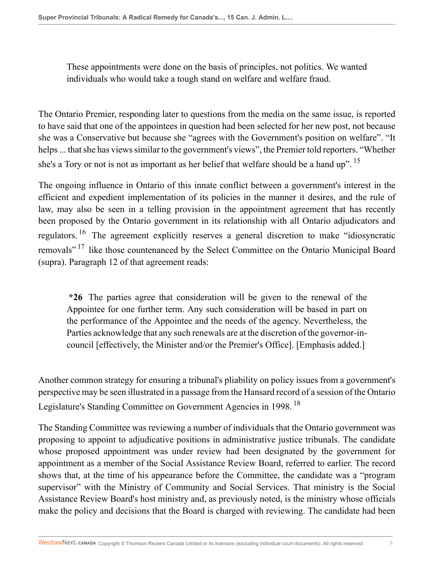These appointments were done on the basis of principles, not politics. We wanted individuals who would take a tough stand on welfare and welfare fraud.

The Ontario Premier, responding later to questions from the media on the same issue, is reported to have said that one of the appointees in question had been selected for her new post, not because she was a Conservative but because she "agrees with the Government's position on welfare". "It helps ... that she has views similar to the government's views", the Premier told reporters. "Whether she's a Tory or not is not as important as her belief that welfare should be a hand up".  $15$ 

The ongoing influence in Ontario of this innate conflict between a government's interest in the efficient and expedient implementation of its policies in the manner it desires, and the rule of law, may also be seen in a telling provision in the appointment agreement that has recently been proposed by the Ontario government in its relationship with all Ontario adjudicators and regulators. <sup>16</sup> The agreement explicitly reserves a general discretion to make "idiosyncratic removals"<sup>17</sup> like those countenanced by the Select Committee on the Ontario Municipal Board (supra). Paragraph 12 of that agreement reads:

**\*26** The parties agree that consideration will be given to the renewal of the Appointee for one further term. Any such consideration will be based in part on the performance of the Appointee and the needs of the agency. Nevertheless, the Parties acknowledge that any such renewals are at the discretion of the governor-incouncil [effectively, the Minister and/or the Premier's Office]. [Emphasis added.]

Another common strategy for ensuring a tribunal's pliability on policy issues from a government's perspective may be seen illustrated in a passage from the Hansard record of a session of the Ontario Legislature's Standing Committee on Government Agencies in 1998.<sup>18</sup>

The Standing Committee was reviewing a number of individuals that the Ontario government was proposing to appoint to adjudicative positions in administrative justice tribunals. The candidate whose proposed appointment was under review had been designated by the government for appointment as a member of the Social Assistance Review Board, referred to earlier. The record shows that, at the time of his appearance before the Committee, the candidate was a "program supervisor" with the Ministry of Community and Social Services. That ministry is the Social Assistance Review Board's host ministry and, as previously noted, is the ministry whose officials make the policy and decisions that the Board is charged with reviewing. The candidate had been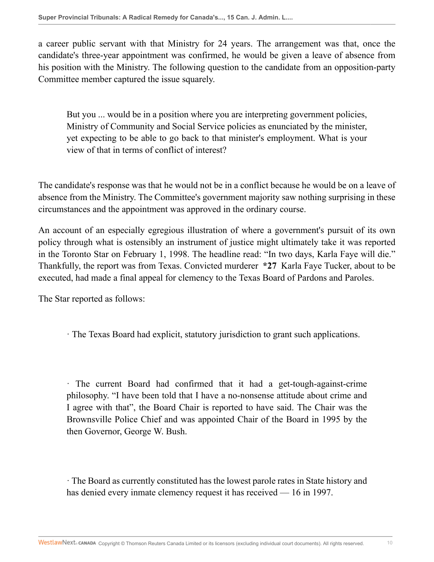a career public servant with that Ministry for 24 years. The arrangement was that, once the candidate's three-year appointment was confirmed, he would be given a leave of absence from his position with the Ministry. The following question to the candidate from an opposition-party Committee member captured the issue squarely.

But you ... would be in a position where you are interpreting government policies, Ministry of Community and Social Service policies as enunciated by the minister, yet expecting to be able to go back to that minister's employment. What is your view of that in terms of conflict of interest?

The candidate's response was that he would not be in a conflict because he would be on a leave of absence from the Ministry. The Committee's government majority saw nothing surprising in these circumstances and the appointment was approved in the ordinary course.

An account of an especially egregious illustration of where a government's pursuit of its own policy through what is ostensibly an instrument of justice might ultimately take it was reported in the Toronto Star on February 1, 1998. The headline read: "In two days, Karla Faye will die." Thankfully, the report was from Texas. Convicted murderer **\*27** Karla Faye Tucker, about to be executed, had made a final appeal for clemency to the Texas Board of Pardons and Paroles.

The Star reported as follows:

· The Texas Board had explicit, statutory jurisdiction to grant such applications.

· The current Board had confirmed that it had a get-tough-against-crime philosophy. "I have been told that I have a no-nonsense attitude about crime and I agree with that", the Board Chair is reported to have said. The Chair was the Brownsville Police Chief and was appointed Chair of the Board in 1995 by the then Governor, George W. Bush.

· The Board as currently constituted has the lowest parole rates in State history and has denied every inmate clemency request it has received — 16 in 1997.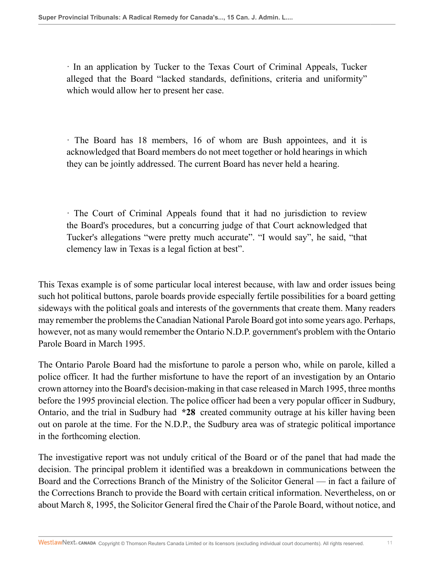· In an application by Tucker to the Texas Court of Criminal Appeals, Tucker alleged that the Board "lacked standards, definitions, criteria and uniformity" which would allow her to present her case.

· The Board has 18 members, 16 of whom are Bush appointees, and it is acknowledged that Board members do not meet together or hold hearings in which they can be jointly addressed. The current Board has never held a hearing.

· The Court of Criminal Appeals found that it had no jurisdiction to review the Board's procedures, but a concurring judge of that Court acknowledged that Tucker's allegations "were pretty much accurate". "I would say", he said, "that clemency law in Texas is a legal fiction at best".

This Texas example is of some particular local interest because, with law and order issues being such hot political buttons, parole boards provide especially fertile possibilities for a board getting sideways with the political goals and interests of the governments that create them. Many readers may remember the problems the Canadian National Parole Board got into some years ago. Perhaps, however, not as many would remember the Ontario N.D.P. government's problem with the Ontario Parole Board in March 1995.

The Ontario Parole Board had the misfortune to parole a person who, while on parole, killed a police officer. It had the further misfortune to have the report of an investigation by an Ontario crown attorney into the Board's decision-making in that case released in March 1995, three months before the 1995 provincial election. The police officer had been a very popular officer in Sudbury, Ontario, and the trial in Sudbury had **\*28** created community outrage at his killer having been out on parole at the time. For the N.D.P., the Sudbury area was of strategic political importance in the forthcoming election.

The investigative report was not unduly critical of the Board or of the panel that had made the decision. The principal problem it identified was a breakdown in communications between the Board and the Corrections Branch of the Ministry of the Solicitor General — in fact a failure of the Corrections Branch to provide the Board with certain critical information. Nevertheless, on or about March 8, 1995, the Solicitor General fired the Chair of the Parole Board, without notice, and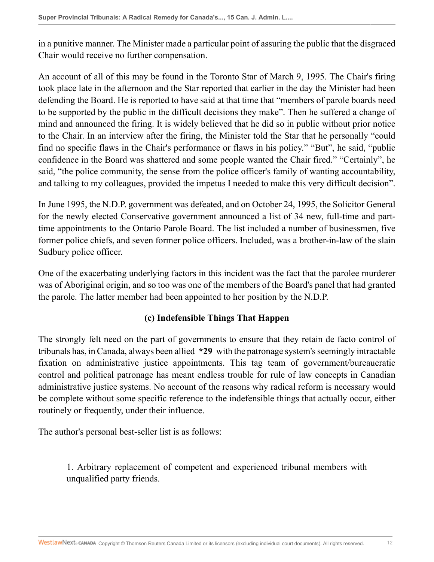in a punitive manner. The Minister made a particular point of assuring the public that the disgraced Chair would receive no further compensation.

An account of all of this may be found in the Toronto Star of March 9, 1995. The Chair's firing took place late in the afternoon and the Star reported that earlier in the day the Minister had been defending the Board. He is reported to have said at that time that "members of parole boards need to be supported by the public in the difficult decisions they make". Then he suffered a change of mind and announced the firing. It is widely believed that he did so in public without prior notice to the Chair. In an interview after the firing, the Minister told the Star that he personally "could find no specific flaws in the Chair's performance or flaws in his policy." "But", he said, "public confidence in the Board was shattered and some people wanted the Chair fired." "Certainly", he said, "the police community, the sense from the police officer's family of wanting accountability, and talking to my colleagues, provided the impetus I needed to make this very difficult decision".

In June 1995, the N.D.P. government was defeated, and on October 24, 1995, the Solicitor General for the newly elected Conservative government announced a list of 34 new, full-time and parttime appointments to the Ontario Parole Board. The list included a number of businessmen, five former police chiefs, and seven former police officers. Included, was a brother-in-law of the slain Sudbury police officer.

One of the exacerbating underlying factors in this incident was the fact that the parolee murderer was of Aboriginal origin, and so too was one of the members of the Board's panel that had granted the parole. The latter member had been appointed to her position by the N.D.P.

## **(c) Indefensible Things That Happen**

The strongly felt need on the part of governments to ensure that they retain de facto control of tribunals has, in Canada, always been allied **\*29** with the patronage system's seemingly intractable fixation on administrative justice appointments. This tag team of government/bureaucratic control and political patronage has meant endless trouble for rule of law concepts in Canadian administrative justice systems. No account of the reasons why radical reform is necessary would be complete without some specific reference to the indefensible things that actually occur, either routinely or frequently, under their influence.

The author's personal best-seller list is as follows:

1. Arbitrary replacement of competent and experienced tribunal members with unqualified party friends.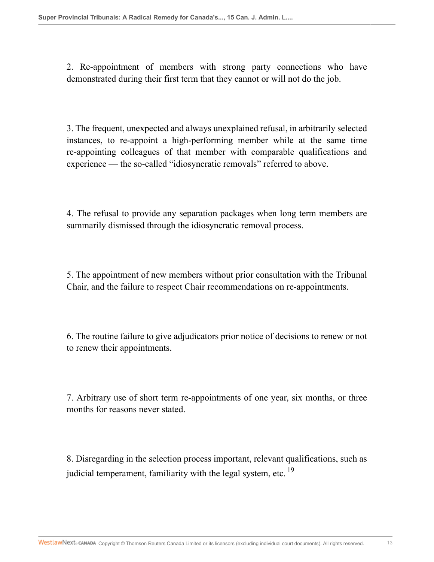2. Re-appointment of members with strong party connections who have demonstrated during their first term that they cannot or will not do the job.

3. The frequent, unexpected and always unexplained refusal, in arbitrarily selected instances, to re-appoint a high-performing member while at the same time re-appointing colleagues of that member with comparable qualifications and experience — the so-called "idiosyncratic removals" referred to above.

4. The refusal to provide any separation packages when long term members are summarily dismissed through the idiosyncratic removal process.

5. The appointment of new members without prior consultation with the Tribunal Chair, and the failure to respect Chair recommendations on re-appointments.

6. The routine failure to give adjudicators prior notice of decisions to renew or not to renew their appointments.

7. Arbitrary use of short term re-appointments of one year, six months, or three months for reasons never stated.

8. Disregarding in the selection process important, relevant qualifications, such as judicial temperament, familiarity with the legal system, etc.<sup>19</sup>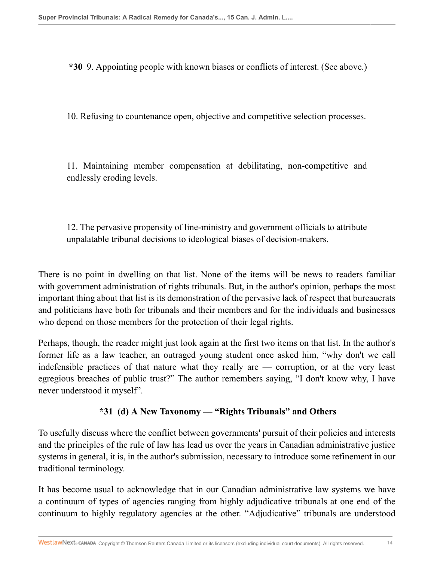**\*30** 9. Appointing people with known biases or conflicts of interest. (See above.)

10. Refusing to countenance open, objective and competitive selection processes.

11. Maintaining member compensation at debilitating, non-competitive and endlessly eroding levels.

12. The pervasive propensity of line-ministry and government officials to attribute unpalatable tribunal decisions to ideological biases of decision-makers.

There is no point in dwelling on that list. None of the items will be news to readers familiar with government administration of rights tribunals. But, in the author's opinion, perhaps the most important thing about that list is its demonstration of the pervasive lack of respect that bureaucrats and politicians have both for tribunals and their members and for the individuals and businesses who depend on those members for the protection of their legal rights.

Perhaps, though, the reader might just look again at the first two items on that list. In the author's former life as a law teacher, an outraged young student once asked him, "why don't we call indefensible practices of that nature what they really are — corruption, or at the very least egregious breaches of public trust?" The author remembers saying, "I don't know why, I have never understood it myself".

## **\*31 (d) A New Taxonomy — "Rights Tribunals" and Others**

To usefully discuss where the conflict between governments' pursuit of their policies and interests and the principles of the rule of law has lead us over the years in Canadian administrative justice systems in general, it is, in the author's submission, necessary to introduce some refinement in our traditional terminology.

It has become usual to acknowledge that in our Canadian administrative law systems we have a continuum of types of agencies ranging from highly adjudicative tribunals at one end of the continuum to highly regulatory agencies at the other. "Adjudicative" tribunals are understood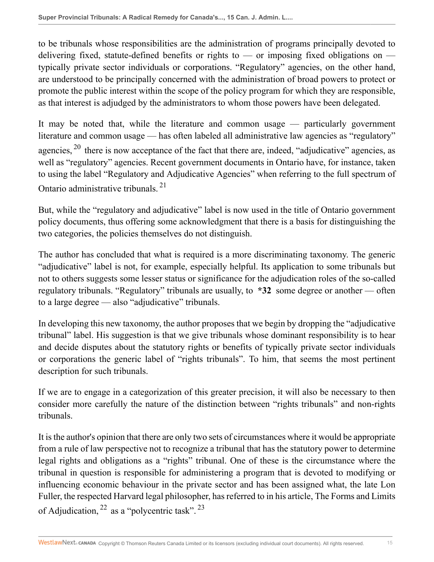to be tribunals whose responsibilities are the administration of programs principally devoted to delivering fixed, statute-defined benefits or rights to — or imposing fixed obligations on typically private sector individuals or corporations. "Regulatory" agencies, on the other hand, are understood to be principally concerned with the administration of broad powers to protect or promote the public interest within the scope of the policy program for which they are responsible, as that interest is adjudged by the administrators to whom those powers have been delegated.

It may be noted that, while the literature and common usage — particularly government literature and common usage — has often labeled all administrative law agencies as "regulatory" agencies,  $^{20}$  there is now acceptance of the fact that there are, indeed, "adjudicative" agencies, as well as "regulatory" agencies. Recent government documents in Ontario have, for instance, taken to using the label "Regulatory and Adjudicative Agencies" when referring to the full spectrum of Ontario administrative tribunals. <sup>21</sup>

But, while the "regulatory and adjudicative" label is now used in the title of Ontario government policy documents, thus offering some acknowledgment that there is a basis for distinguishing the two categories, the policies themselves do not distinguish.

The author has concluded that what is required is a more discriminating taxonomy. The generic "adjudicative" label is not, for example, especially helpful. Its application to some tribunals but not to others suggests some lesser status or significance for the adjudication roles of the so-called regulatory tribunals. "Regulatory" tribunals are usually, to **\*32** some degree or another — often to a large degree — also "adjudicative" tribunals.

In developing this new taxonomy, the author proposes that we begin by dropping the "adjudicative tribunal" label. His suggestion is that we give tribunals whose dominant responsibility is to hear and decide disputes about the statutory rights or benefits of typically private sector individuals or corporations the generic label of "rights tribunals". To him, that seems the most pertinent description for such tribunals.

If we are to engage in a categorization of this greater precision, it will also be necessary to then consider more carefully the nature of the distinction between "rights tribunals" and non-rights tribunals.

It is the author's opinion that there are only two sets of circumstances where it would be appropriate from a rule of law perspective not to recognize a tribunal that has the statutory power to determine legal rights and obligations as a "rights" tribunal. One of these is the circumstance where the tribunal in question is responsible for administering a program that is devoted to modifying or influencing economic behaviour in the private sector and has been assigned what, the late Lon Fuller, the respected Harvard legal philosopher, has referred to in his article, The Forms and Limits of Adjudication,  $^{22}$  as a "polycentric task".  $^{23}$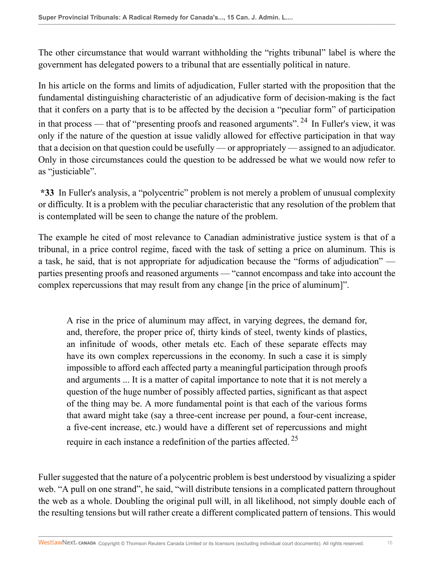The other circumstance that would warrant withholding the "rights tribunal" label is where the government has delegated powers to a tribunal that are essentially political in nature.

In his article on the forms and limits of adjudication, Fuller started with the proposition that the fundamental distinguishing characteristic of an adjudicative form of decision-making is the fact that it confers on a party that is to be affected by the decision a "peculiar form" of participation in that process — that of "presenting proofs and reasoned arguments".<sup>24</sup> In Fuller's view, it was only if the nature of the question at issue validly allowed for effective participation in that way that a decision on that question could be usefully — or appropriately — assigned to an adjudicator. Only in those circumstances could the question to be addressed be what we would now refer to as "justiciable".

**\*33** In Fuller's analysis, a "polycentric" problem is not merely a problem of unusual complexity or difficulty. It is a problem with the peculiar characteristic that any resolution of the problem that is contemplated will be seen to change the nature of the problem.

The example he cited of most relevance to Canadian administrative justice system is that of a tribunal, in a price control regime, faced with the task of setting a price on aluminum. This is a task, he said, that is not appropriate for adjudication because the "forms of adjudication" parties presenting proofs and reasoned arguments — "cannot encompass and take into account the complex repercussions that may result from any change [in the price of aluminum]".

A rise in the price of aluminum may affect, in varying degrees, the demand for, and, therefore, the proper price of, thirty kinds of steel, twenty kinds of plastics, an infinitude of woods, other metals etc. Each of these separate effects may have its own complex repercussions in the economy. In such a case it is simply impossible to afford each affected party a meaningful participation through proofs and arguments ... It is a matter of capital importance to note that it is not merely a question of the huge number of possibly affected parties, significant as that aspect of the thing may be. A more fundamental point is that each of the various forms that award might take (say a three-cent increase per pound, a four-cent increase, a five-cent increase, etc.) would have a different set of repercussions and might require in each instance a redefinition of the parties affected. <sup>25</sup>

Fuller suggested that the nature of a polycentric problem is best understood by visualizing a spider web. "A pull on one strand", he said, "will distribute tensions in a complicated pattern throughout the web as a whole. Doubling the original pull will, in all likelihood, not simply double each of the resulting tensions but will rather create a different complicated pattern of tensions. This would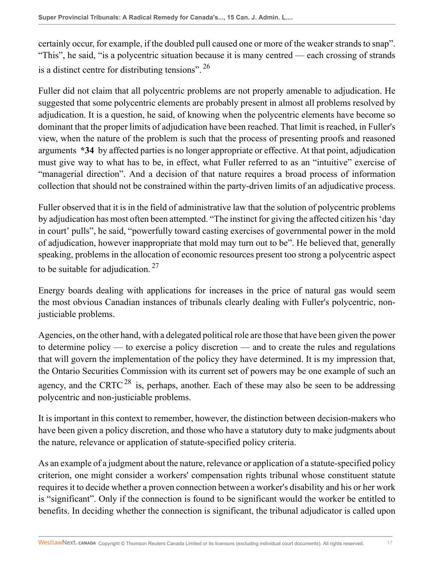certainly occur, for example, if the doubled pull caused one or more of the weaker strands to snap". "This", he said, "is a polycentric situation because it is many centred — each crossing of strands is a distinct centre for distributing tensions".  $^{26}$ 

Fuller did not claim that all polycentric problems are not properly amenable to adjudication. He suggested that some polycentric elements are probably present in almost all problems resolved by adjudication. It is a question, he said, of knowing when the polycentric elements have become so dominant that the proper limits of adjudication have been reached. That limit is reached, in Fuller's view, when the nature of the problem is such that the process of presenting proofs and reasoned arguments **\*34** by affected parties is no longer appropriate or effective. At that point, adjudication must give way to what has to be, in effect, what Fuller referred to as an "intuitive" exercise of "managerial direction". And a decision of that nature requires a broad process of information collection that should not be constrained within the party-driven limits of an adjudicative process.

Fuller observed that it is in the field of administrative law that the solution of polycentric problems by adjudication has most often been attempted. "The instinct for giving the affected citizen his 'day in court' pulls", he said, "powerfully toward casting exercises of governmental power in the mold of adjudication, however inappropriate that mold may turn out to be". He believed that, generally speaking, problems in the allocation of economic resources present too strong a polycentric aspect to be suitable for adjudication.  $27$ 

Energy boards dealing with applications for increases in the price of natural gas would seem the most obvious Canadian instances of tribunals clearly dealing with Fuller's polycentric, nonjusticiable problems.

Agencies, on the other hand, with a delegated political role are those that have been given the power to determine policy — to exercise a policy discretion — and to create the rules and regulations that will govern the implementation of the policy they have determined. It is my impression that, the Ontario Securities Commission with its current set of powers may be one example of such an agency, and the CRTC<sup>28</sup> is, perhaps, another. Each of these may also be seen to be addressing polycentric and non-justiciable problems.

It is important in this context to remember, however, the distinction between decision-makers who have been given a policy discretion, and those who have a statutory duty to make judgments about the nature, relevance or application of statute-specified policy criteria.

As an example of a judgment about the nature, relevance or application of a statute-specified policy criterion, one might consider a workers' compensation rights tribunal whose constituent statute requires it to decide whether a proven connection between a worker's disability and his or her work is "significant". Only if the connection is found to be significant would the worker be entitled to benefits. In deciding whether the connection is significant, the tribunal adjudicator is called upon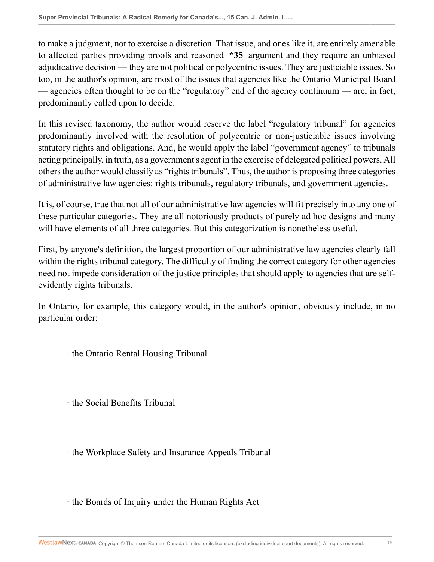to make a judgment, not to exercise a discretion. That issue, and ones like it, are entirely amenable to affected parties providing proofs and reasoned **\*35** argument and they require an unbiased adjudicative decision — they are not political or polycentric issues. They are justiciable issues. So too, in the author's opinion, are most of the issues that agencies like the Ontario Municipal Board — agencies often thought to be on the "regulatory" end of the agency continuum — are, in fact, predominantly called upon to decide.

In this revised taxonomy, the author would reserve the label "regulatory tribunal" for agencies predominantly involved with the resolution of polycentric or non-justiciable issues involving statutory rights and obligations. And, he would apply the label "government agency" to tribunals acting principally, in truth, as a government's agent in the exercise of delegated political powers. All others the author would classify as "rights tribunals". Thus, the author is proposing three categories of administrative law agencies: rights tribunals, regulatory tribunals, and government agencies.

It is, of course, true that not all of our administrative law agencies will fit precisely into any one of these particular categories. They are all notoriously products of purely ad hoc designs and many will have elements of all three categories. But this categorization is nonetheless useful.

First, by anyone's definition, the largest proportion of our administrative law agencies clearly fall within the rights tribunal category. The difficulty of finding the correct category for other agencies need not impede consideration of the justice principles that should apply to agencies that are selfevidently rights tribunals.

In Ontario, for example, this category would, in the author's opinion, obviously include, in no particular order:

· the Ontario Rental Housing Tribunal

· the Social Benefits Tribunal

· the Workplace Safety and Insurance Appeals Tribunal

· the Boards of Inquiry under the Human Rights Act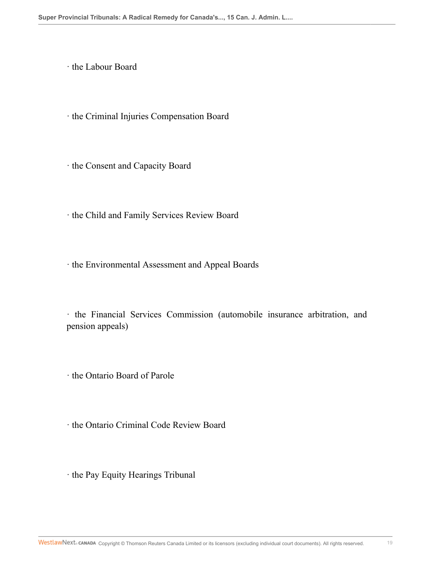· the Labour Board

· the Criminal Injuries Compensation Board

· the Consent and Capacity Board

· the Child and Family Services Review Board

· the Environmental Assessment and Appeal Boards

· the Financial Services Commission (automobile insurance arbitration, and pension appeals)

· the Ontario Board of Parole

· the Ontario Criminal Code Review Board

· the Pay Equity Hearings Tribunal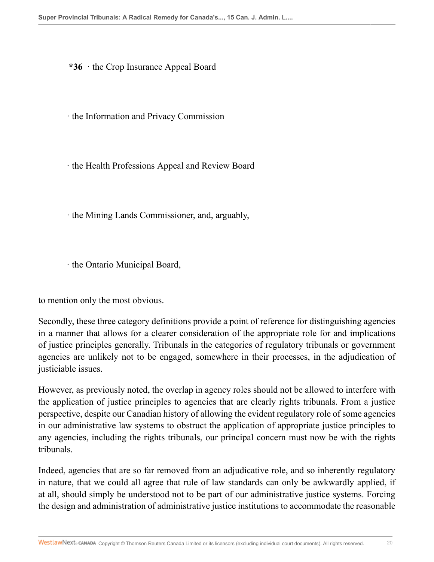**\*36** · the Crop Insurance Appeal Board

· the Information and Privacy Commission

· the Health Professions Appeal and Review Board

· the Mining Lands Commissioner, and, arguably,

· the Ontario Municipal Board,

to mention only the most obvious.

Secondly, these three category definitions provide a point of reference for distinguishing agencies in a manner that allows for a clearer consideration of the appropriate role for and implications of justice principles generally. Tribunals in the categories of regulatory tribunals or government agencies are unlikely not to be engaged, somewhere in their processes, in the adjudication of justiciable issues.

However, as previously noted, the overlap in agency roles should not be allowed to interfere with the application of justice principles to agencies that are clearly rights tribunals. From a justice perspective, despite our Canadian history of allowing the evident regulatory role of some agencies in our administrative law systems to obstruct the application of appropriate justice principles to any agencies, including the rights tribunals, our principal concern must now be with the rights tribunals.

Indeed, agencies that are so far removed from an adjudicative role, and so inherently regulatory in nature, that we could all agree that rule of law standards can only be awkwardly applied, if at all, should simply be understood not to be part of our administrative justice systems. Forcing the design and administration of administrative justice institutions to accommodate the reasonable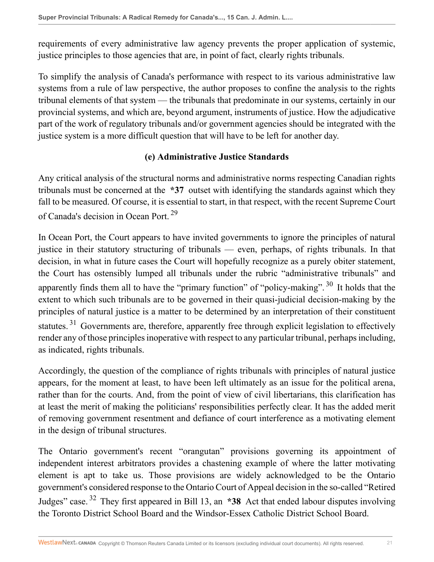requirements of every administrative law agency prevents the proper application of systemic, justice principles to those agencies that are, in point of fact, clearly rights tribunals.

To simplify the analysis of Canada's performance with respect to its various administrative law systems from a rule of law perspective, the author proposes to confine the analysis to the rights tribunal elements of that system — the tribunals that predominate in our systems, certainly in our provincial systems, and which are, beyond argument, instruments of justice. How the adjudicative part of the work of regulatory tribunals and/or government agencies should be integrated with the justice system is a more difficult question that will have to be left for another day.

#### **(e) Administrative Justice Standards**

Any critical analysis of the structural norms and administrative norms respecting Canadian rights tribunals must be concerned at the **\*37** outset with identifying the standards against which they fall to be measured. Of course, it is essential to start, in that respect, with the recent Supreme Court of Canada's decision in Ocean Port.<sup>29</sup>

In Ocean Port, the Court appears to have invited governments to ignore the principles of natural justice in their statutory structuring of tribunals — even, perhaps, of rights tribunals. In that decision, in what in future cases the Court will hopefully recognize as a purely obiter statement, the Court has ostensibly lumped all tribunals under the rubric "administrative tribunals" and apparently finds them all to have the "primary function" of "policy-making".<sup>30</sup> It holds that the extent to which such tribunals are to be governed in their quasi-judicial decision-making by the principles of natural justice is a matter to be determined by an interpretation of their constituent statutes.<sup>31</sup> Governments are, therefore, apparently free through explicit legislation to effectively render any of those principles inoperative with respect to any particular tribunal, perhaps including, as indicated, rights tribunals.

Accordingly, the question of the compliance of rights tribunals with principles of natural justice appears, for the moment at least, to have been left ultimately as an issue for the political arena, rather than for the courts. And, from the point of view of civil libertarians, this clarification has at least the merit of making the politicians' responsibilities perfectly clear. It has the added merit of removing government resentment and defiance of court interference as a motivating element in the design of tribunal structures.

The Ontario government's recent "orangutan" provisions governing its appointment of independent interest arbitrators provides a chastening example of where the latter motivating element is apt to take us. Those provisions are widely acknowledged to be the Ontario government's considered response to the Ontario Court of Appeal decision in the so-called "Retired Judges" case. <sup>32</sup> They first appeared in Bill 13, an **\*38** Act that ended labour disputes involving the Toronto District School Board and the Windsor-Essex Catholic District School Board.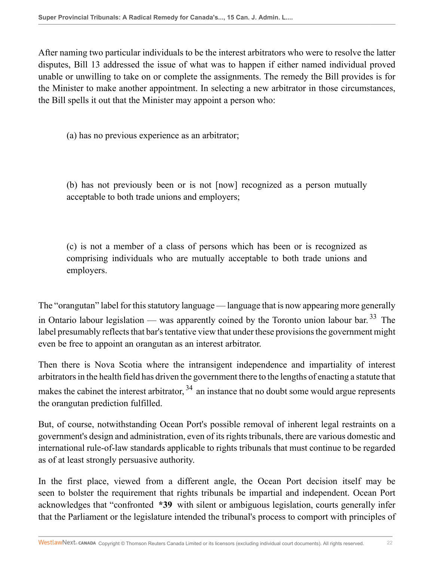After naming two particular individuals to be the interest arbitrators who were to resolve the latter disputes, Bill 13 addressed the issue of what was to happen if either named individual proved unable or unwilling to take on or complete the assignments. The remedy the Bill provides is for the Minister to make another appointment. In selecting a new arbitrator in those circumstances, the Bill spells it out that the Minister may appoint a person who:

(a) has no previous experience as an arbitrator;

(b) has not previously been or is not [now] recognized as a person mutually acceptable to both trade unions and employers;

(c) is not a member of a class of persons which has been or is recognized as comprising individuals who are mutually acceptable to both trade unions and employers.

The "orangutan" label for this statutory language — language that is now appearing more generally in Ontario labour legislation — was apparently coined by the Toronto union labour bar.<sup>33</sup> The label presumably reflects that bar's tentative view that under these provisions the government might even be free to appoint an orangutan as an interest arbitrator.

Then there is Nova Scotia where the intransigent independence and impartiality of interest arbitrators in the health field has driven the government there to the lengths of enacting a statute that makes the cabinet the interest arbitrator,  $34$  an instance that no doubt some would argue represents the orangutan prediction fulfilled.

But, of course, notwithstanding Ocean Port's possible removal of inherent legal restraints on a government's design and administration, even of its rights tribunals, there are various domestic and international rule-of-law standards applicable to rights tribunals that must continue to be regarded as of at least strongly persuasive authority.

In the first place, viewed from a different angle, the Ocean Port decision itself may be seen to bolster the requirement that rights tribunals be impartial and independent. Ocean Port acknowledges that "confronted **\*39** with silent or ambiguous legislation, courts generally infer that the Parliament or the legislature intended the tribunal's process to comport with principles of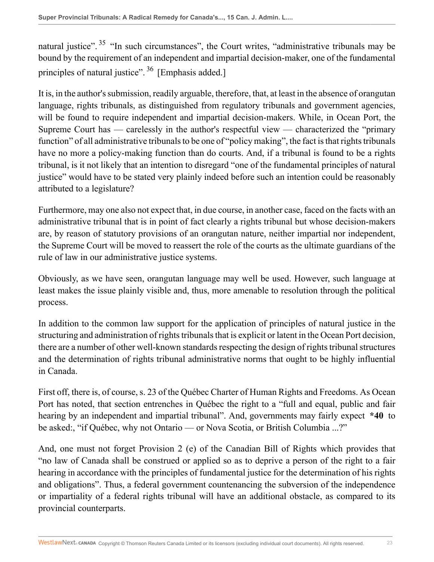natural justice".  $35$  "In such circumstances", the Court writes, "administrative tribunals may be bound by the requirement of an independent and impartial decision-maker, one of the fundamental principles of natural justice". <sup>36</sup> [Emphasis added.]

It is, in the author's submission, readily arguable, therefore, that, at least in the absence of orangutan language, rights tribunals, as distinguished from regulatory tribunals and government agencies, will be found to require independent and impartial decision-makers. While, in Ocean Port, the Supreme Court has — carelessly in the author's respectful view — characterized the "primary function" of all administrative tribunals to be one of "policy making", the fact is that rights tribunals have no more a policy-making function than do courts. And, if a tribunal is found to be a rights tribunal, is it not likely that an intention to disregard "one of the fundamental principles of natural justice" would have to be stated very plainly indeed before such an intention could be reasonably attributed to a legislature?

Furthermore, may one also not expect that, in due course, in another case, faced on the facts with an administrative tribunal that is in point of fact clearly a rights tribunal but whose decision-makers are, by reason of statutory provisions of an orangutan nature, neither impartial nor independent, the Supreme Court will be moved to reassert the role of the courts as the ultimate guardians of the rule of law in our administrative justice systems.

Obviously, as we have seen, orangutan language may well be used. However, such language at least makes the issue plainly visible and, thus, more amenable to resolution through the political process.

In addition to the common law support for the application of principles of natural justice in the structuring and administration of rights tribunals that is explicit or latent in the Ocean Port decision, there are a number of other well-known standards respecting the design of rights tribunal structures and the determination of rights tribunal administrative norms that ought to be highly influential in Canada.

First off, there is, of course, s. 23 of the Québec Charter of Human Rights and Freedoms. As Ocean Port has noted, that section entrenches in Québec the right to a "full and equal, public and fair hearing by an independent and impartial tribunal". And, governments may fairly expect **\*40** to be asked:, "if Québec, why not Ontario — or Nova Scotia, or British Columbia ...?"

And, one must not forget Provision 2 (e) of the Canadian Bill of Rights which provides that "no law of Canada shall be construed or applied so as to deprive a person of the right to a fair hearing in accordance with the principles of fundamental justice for the determination of his rights and obligations". Thus, a federal government countenancing the subversion of the independence or impartiality of a federal rights tribunal will have an additional obstacle, as compared to its provincial counterparts.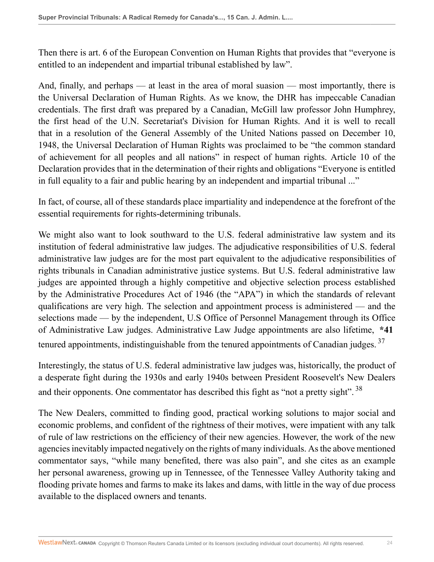Then there is art. 6 of the European Convention on Human Rights that provides that "everyone is entitled to an independent and impartial tribunal established by law".

And, finally, and perhaps — at least in the area of moral suasion — most importantly, there is the Universal Declaration of Human Rights. As we know, the DHR has impeccable Canadian credentials. The first draft was prepared by a Canadian, McGill law professor John Humphrey, the first head of the U.N. Secretariat's Division for Human Rights. And it is well to recall that in a resolution of the General Assembly of the United Nations passed on December 10, 1948, the Universal Declaration of Human Rights was proclaimed to be "the common standard of achievement for all peoples and all nations" in respect of human rights. Article 10 of the Declaration provides that in the determination of their rights and obligations "Everyone is entitled in full equality to a fair and public hearing by an independent and impartial tribunal ..."

In fact, of course, all of these standards place impartiality and independence at the forefront of the essential requirements for rights-determining tribunals.

We might also want to look southward to the U.S. federal administrative law system and its institution of federal administrative law judges. The adjudicative responsibilities of U.S. federal administrative law judges are for the most part equivalent to the adjudicative responsibilities of rights tribunals in Canadian administrative justice systems. But U.S. federal administrative law judges are appointed through a highly competitive and objective selection process established by the Administrative Procedures Act of 1946 (the "APA") in which the standards of relevant qualifications are very high. The selection and appointment process is administered — and the selections made — by the independent, U.S Office of Personnel Management through its Office of Administrative Law judges. Administrative Law Judge appointments are also lifetime, **\*41** tenured appointments, indistinguishable from the tenured appointments of Canadian judges.<sup>37</sup>

Interestingly, the status of U.S. federal administrative law judges was, historically, the product of a desperate fight during the 1930s and early 1940s between President Roosevelt's New Dealers and their opponents. One commentator has described this fight as "not a pretty sight".<sup>38</sup>

The New Dealers, committed to finding good, practical working solutions to major social and economic problems, and confident of the rightness of their motives, were impatient with any talk of rule of law restrictions on the efficiency of their new agencies. However, the work of the new agencies inevitably impacted negatively on the rights of many individuals. As the above mentioned commentator says, "while many benefited, there was also pain", and she cites as an example her personal awareness, growing up in Tennessee, of the Tennessee Valley Authority taking and flooding private homes and farms to make its lakes and dams, with little in the way of due process available to the displaced owners and tenants.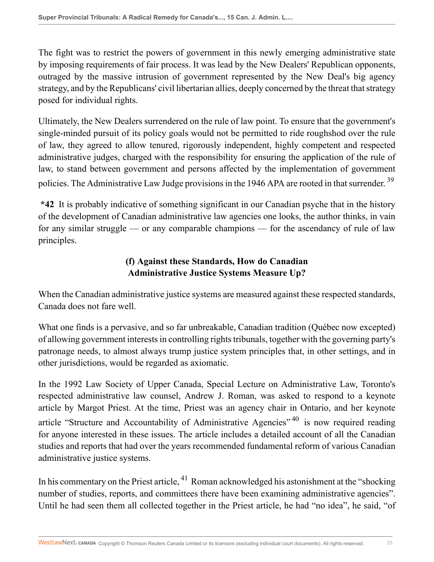The fight was to restrict the powers of government in this newly emerging administrative state by imposing requirements of fair process. It was lead by the New Dealers' Republican opponents, outraged by the massive intrusion of government represented by the New Deal's big agency strategy, and by the Republicans' civil libertarian allies, deeply concerned by the threat that strategy posed for individual rights.

Ultimately, the New Dealers surrendered on the rule of law point. To ensure that the government's single-minded pursuit of its policy goals would not be permitted to ride roughshod over the rule of law, they agreed to allow tenured, rigorously independent, highly competent and respected administrative judges, charged with the responsibility for ensuring the application of the rule of law, to stand between government and persons affected by the implementation of government policies. The Administrative Law Judge provisions in the 1946 APA are rooted in that surrender. <sup>39</sup>

**\*42** It is probably indicative of something significant in our Canadian psyche that in the history of the development of Canadian administrative law agencies one looks, the author thinks, in vain for any similar struggle — or any comparable champions — for the ascendancy of rule of law principles.

## **(f) Against these Standards, How do Canadian Administrative Justice Systems Measure Up?**

When the Canadian administrative justice systems are measured against these respected standards, Canada does not fare well.

What one finds is a pervasive, and so far unbreakable, Canadian tradition (Québec now excepted) of allowing government interests in controlling rights tribunals, together with the governing party's patronage needs, to almost always trump justice system principles that, in other settings, and in other jurisdictions, would be regarded as axiomatic.

In the 1992 Law Society of Upper Canada, Special Lecture on Administrative Law, Toronto's respected administrative law counsel, Andrew J. Roman, was asked to respond to a keynote article by Margot Priest. At the time, Priest was an agency chair in Ontario, and her keynote article "Structure and Accountability of Administrative Agencies"  $40$  is now required reading for anyone interested in these issues. The article includes a detailed account of all the Canadian studies and reports that had over the years recommended fundamental reform of various Canadian administrative justice systems.

In his commentary on the Priest article,  $^{41}$  Roman acknowledged his astonishment at the "shocking" number of studies, reports, and committees there have been examining administrative agencies". Until he had seen them all collected together in the Priest article, he had "no idea", he said, "of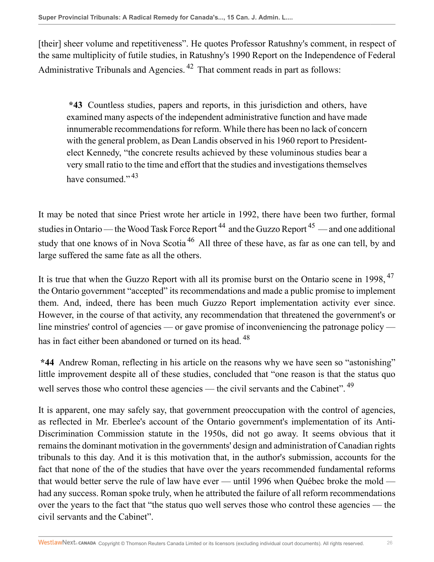[their] sheer volume and repetitiveness". He quotes Professor Ratushny's comment, in respect of the same multiplicity of futile studies, in Ratushny's 1990 Report on the Independence of Federal Administrative Tribunals and Agencies.<sup>42</sup> That comment reads in part as follows:

**\*43** Countless studies, papers and reports, in this jurisdiction and others, have examined many aspects of the independent administrative function and have made innumerable recommendations for reform. While there has been no lack of concern with the general problem, as Dean Landis observed in his 1960 report to Presidentelect Kennedy, "the concrete results achieved by these voluminous studies bear a very small ratio to the time and effort that the studies and investigations themselves have consumed." $43$ 

It may be noted that since Priest wrote her article in 1992, there have been two further, formal studies in Ontario — the Wood Task Force Report<sup>44</sup> and the Guzzo Report<sup>45</sup> — and one additional study that one knows of in Nova Scotia<sup>46</sup> All three of these have, as far as one can tell, by and large suffered the same fate as all the others.

It is true that when the Guzzo Report with all its promise burst on the Ontario scene in 1998, <sup>47</sup> the Ontario government "accepted" its recommendations and made a public promise to implement them. And, indeed, there has been much Guzzo Report implementation activity ever since. However, in the course of that activity, any recommendation that threatened the government's or line minstries' control of agencies — or gave promise of inconveniencing the patronage policy has in fact either been abandoned or turned on its head. <sup>48</sup>

**\*44** Andrew Roman, reflecting in his article on the reasons why we have seen so "astonishing" little improvement despite all of these studies, concluded that "one reason is that the status quo well serves those who control these agencies — the civil servants and the Cabinet".<sup>49</sup>

It is apparent, one may safely say, that government preoccupation with the control of agencies, as reflected in Mr. Eberlee's account of the Ontario government's implementation of its Anti-Discrimination Commission statute in the 1950s, did not go away. It seems obvious that it remains the dominant motivation in the governments' design and administration of Canadian rights tribunals to this day. And it is this motivation that, in the author's submission, accounts for the fact that none of the of the studies that have over the years recommended fundamental reforms that would better serve the rule of law have ever — until 1996 when Québec broke the mold had any success. Roman spoke truly, when he attributed the failure of all reform recommendations over the years to the fact that "the status quo well serves those who control these agencies — the civil servants and the Cabinet".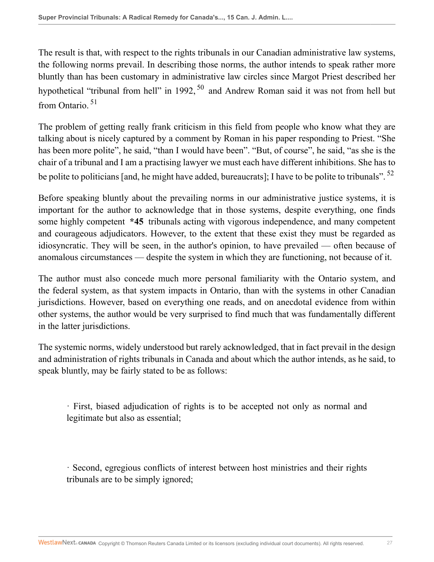The result is that, with respect to the rights tribunals in our Canadian administrative law systems, the following norms prevail. In describing those norms, the author intends to speak rather more bluntly than has been customary in administrative law circles since Margot Priest described her hypothetical "tribunal from hell" in 1992,  $50$  and Andrew Roman said it was not from hell but from Ontario. <sup>51</sup>

The problem of getting really frank criticism in this field from people who know what they are talking about is nicely captured by a comment by Roman in his paper responding to Priest. "She has been more polite", he said, "than I would have been". "But, of course", he said, "as she is the chair of a tribunal and I am a practising lawyer we must each have different inhibitions. She has to be polite to politicians [and, he might have added, bureaucrats]; I have to be polite to tribunals". <sup>52</sup>

Before speaking bluntly about the prevailing norms in our administrative justice systems, it is important for the author to acknowledge that in those systems, despite everything, one finds some highly competent **\*45** tribunals acting with vigorous independence, and many competent and courageous adjudicators. However, to the extent that these exist they must be regarded as idiosyncratic. They will be seen, in the author's opinion, to have prevailed — often because of anomalous circumstances — despite the system in which they are functioning, not because of it.

The author must also concede much more personal familiarity with the Ontario system, and the federal system, as that system impacts in Ontario, than with the systems in other Canadian jurisdictions. However, based on everything one reads, and on anecdotal evidence from within other systems, the author would be very surprised to find much that was fundamentally different in the latter jurisdictions.

The systemic norms, widely understood but rarely acknowledged, that in fact prevail in the design and administration of rights tribunals in Canada and about which the author intends, as he said, to speak bluntly, may be fairly stated to be as follows:

· First, biased adjudication of rights is to be accepted not only as normal and legitimate but also as essential;

· Second, egregious conflicts of interest between host ministries and their rights tribunals are to be simply ignored;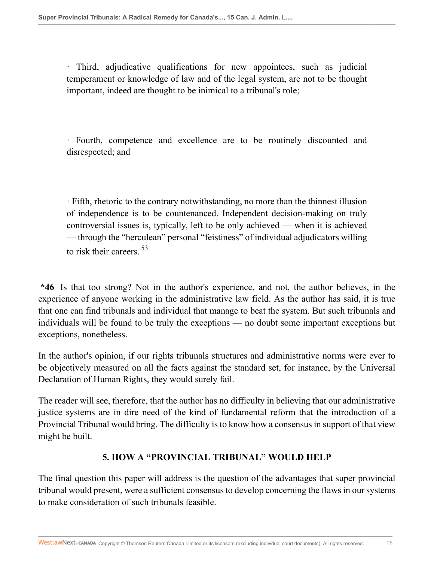· Third, adjudicative qualifications for new appointees, such as judicial temperament or knowledge of law and of the legal system, are not to be thought important, indeed are thought to be inimical to a tribunal's role;

· Fourth, competence and excellence are to be routinely discounted and disrespected; and

· Fifth, rhetoric to the contrary notwithstanding, no more than the thinnest illusion of independence is to be countenanced. Independent decision-making on truly controversial issues is, typically, left to be only achieved — when it is achieved — through the "herculean" personal "feistiness" of individual adjudicators willing to risk their careers.<sup>53</sup>

**\*46** Is that too strong? Not in the author's experience, and not, the author believes, in the experience of anyone working in the administrative law field. As the author has said, it is true that one can find tribunals and individual that manage to beat the system. But such tribunals and individuals will be found to be truly the exceptions — no doubt some important exceptions but exceptions, nonetheless.

In the author's opinion, if our rights tribunals structures and administrative norms were ever to be objectively measured on all the facts against the standard set, for instance, by the Universal Declaration of Human Rights, they would surely fail.

The reader will see, therefore, that the author has no difficulty in believing that our administrative justice systems are in dire need of the kind of fundamental reform that the introduction of a Provincial Tribunal would bring. The difficulty is to know how a consensus in support of that view might be built.

#### **5. HOW A "PROVINCIAL TRIBUNAL" WOULD HELP**

The final question this paper will address is the question of the advantages that super provincial tribunal would present, were a sufficient consensus to develop concerning the flaws in our systems to make consideration of such tribunals feasible.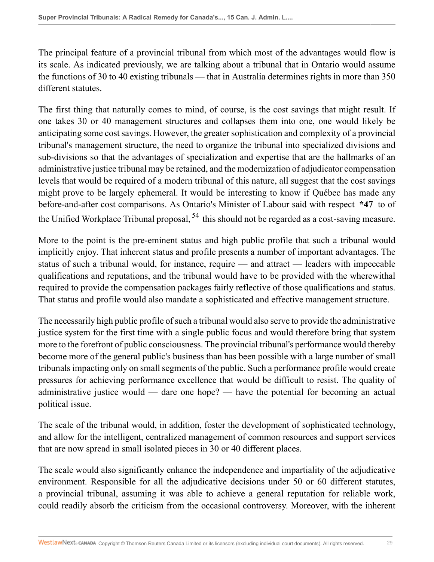The principal feature of a provincial tribunal from which most of the advantages would flow is its scale. As indicated previously, we are talking about a tribunal that in Ontario would assume the functions of 30 to 40 existing tribunals — that in Australia determines rights in more than 350 different statutes.

The first thing that naturally comes to mind, of course, is the cost savings that might result. If one takes 30 or 40 management structures and collapses them into one, one would likely be anticipating some cost savings. However, the greater sophistication and complexity of a provincial tribunal's management structure, the need to organize the tribunal into specialized divisions and sub-divisions so that the advantages of specialization and expertise that are the hallmarks of an administrative justice tribunal may be retained, and the modernization of adjudicator compensation levels that would be required of a modern tribunal of this nature, all suggest that the cost savings might prove to be largely ephemeral. It would be interesting to know if Québec has made any before-and-after cost comparisons. As Ontario's Minister of Labour said with respect **\*47** to of the Unified Workplace Tribunal proposal,  $54$  this should not be regarded as a cost-saving measure.

More to the point is the pre-eminent status and high public profile that such a tribunal would implicitly enjoy. That inherent status and profile presents a number of important advantages. The status of such a tribunal would, for instance, require — and attract — leaders with impeccable qualifications and reputations, and the tribunal would have to be provided with the wherewithal required to provide the compensation packages fairly reflective of those qualifications and status. That status and profile would also mandate a sophisticated and effective management structure.

The necessarily high public profile of such a tribunal would also serve to provide the administrative justice system for the first time with a single public focus and would therefore bring that system more to the forefront of public consciousness. The provincial tribunal's performance would thereby become more of the general public's business than has been possible with a large number of small tribunals impacting only on small segments of the public. Such a performance profile would create pressures for achieving performance excellence that would be difficult to resist. The quality of administrative justice would — dare one hope? — have the potential for becoming an actual political issue.

The scale of the tribunal would, in addition, foster the development of sophisticated technology, and allow for the intelligent, centralized management of common resources and support services that are now spread in small isolated pieces in 30 or 40 different places.

The scale would also significantly enhance the independence and impartiality of the adjudicative environment. Responsible for all the adjudicative decisions under 50 or 60 different statutes, a provincial tribunal, assuming it was able to achieve a general reputation for reliable work, could readily absorb the criticism from the occasional controversy. Moreover, with the inherent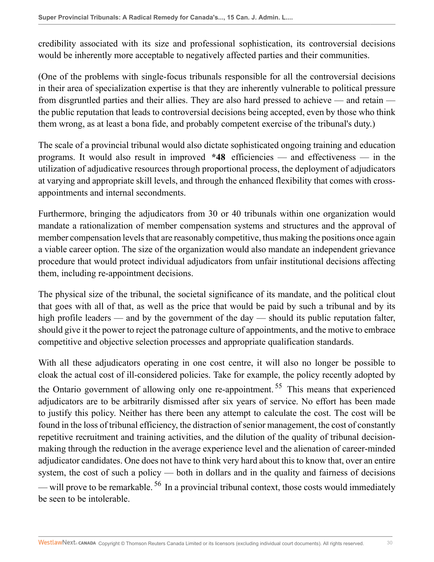credibility associated with its size and professional sophistication, its controversial decisions would be inherently more acceptable to negatively affected parties and their communities.

(One of the problems with single-focus tribunals responsible for all the controversial decisions in their area of specialization expertise is that they are inherently vulnerable to political pressure from disgruntled parties and their allies. They are also hard pressed to achieve — and retain the public reputation that leads to controversial decisions being accepted, even by those who think them wrong, as at least a bona fide, and probably competent exercise of the tribunal's duty.)

The scale of a provincial tribunal would also dictate sophisticated ongoing training and education programs. It would also result in improved **\*48** efficiencies — and effectiveness — in the utilization of adjudicative resources through proportional process, the deployment of adjudicators at varying and appropriate skill levels, and through the enhanced flexibility that comes with crossappointments and internal secondments.

Furthermore, bringing the adjudicators from 30 or 40 tribunals within one organization would mandate a rationalization of member compensation systems and structures and the approval of member compensation levels that are reasonably competitive, thus making the positions once again a viable career option. The size of the organization would also mandate an independent grievance procedure that would protect individual adjudicators from unfair institutional decisions affecting them, including re-appointment decisions.

The physical size of the tribunal, the societal significance of its mandate, and the political clout that goes with all of that, as well as the price that would be paid by such a tribunal and by its high profile leaders — and by the government of the day — should its public reputation falter, should give it the power to reject the patronage culture of appointments, and the motive to embrace competitive and objective selection processes and appropriate qualification standards.

With all these adjudicators operating in one cost centre, it will also no longer be possible to cloak the actual cost of ill-considered policies. Take for example, the policy recently adopted by the Ontario government of allowing only one re-appointment.<sup>55</sup> This means that experienced adjudicators are to be arbitrarily dismissed after six years of service. No effort has been made to justify this policy. Neither has there been any attempt to calculate the cost. The cost will be found in the loss of tribunal efficiency, the distraction of senior management, the cost of constantly repetitive recruitment and training activities, and the dilution of the quality of tribunal decisionmaking through the reduction in the average experience level and the alienation of career-minded adjudicator candidates. One does not have to think very hard about this to know that, over an entire system, the cost of such a policy — both in dollars and in the quality and fairness of decisions — will prove to be remarkable.  $^{56}$  In a provincial tribunal context, those costs would immediately be seen to be intolerable.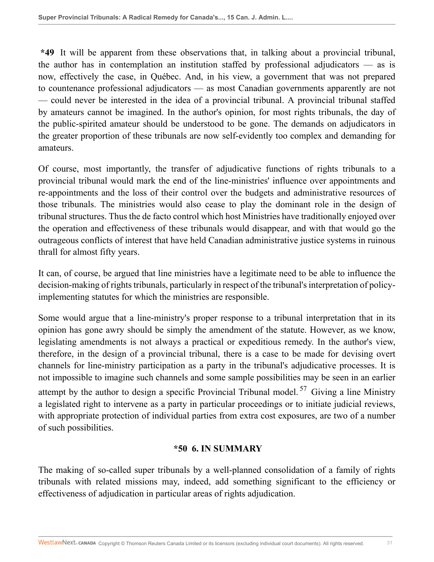**\*49** It will be apparent from these observations that, in talking about a provincial tribunal, the author has in contemplation an institution staffed by professional adjudicators — as is now, effectively the case, in Québec. And, in his view, a government that was not prepared to countenance professional adjudicators — as most Canadian governments apparently are not — could never be interested in the idea of a provincial tribunal. A provincial tribunal staffed by amateurs cannot be imagined. In the author's opinion, for most rights tribunals, the day of the public-spirited amateur should be understood to be gone. The demands on adjudicators in the greater proportion of these tribunals are now self-evidently too complex and demanding for amateurs.

Of course, most importantly, the transfer of adjudicative functions of rights tribunals to a provincial tribunal would mark the end of the line-ministries' influence over appointments and re-appointments and the loss of their control over the budgets and administrative resources of those tribunals. The ministries would also cease to play the dominant role in the design of tribunal structures. Thus the de facto control which host Ministries have traditionally enjoyed over the operation and effectiveness of these tribunals would disappear, and with that would go the outrageous conflicts of interest that have held Canadian administrative justice systems in ruinous thrall for almost fifty years.

It can, of course, be argued that line ministries have a legitimate need to be able to influence the decision-making of rights tribunals, particularly in respect of the tribunal's interpretation of policyimplementing statutes for which the ministries are responsible.

Some would argue that a line-ministry's proper response to a tribunal interpretation that in its opinion has gone awry should be simply the amendment of the statute. However, as we know, legislating amendments is not always a practical or expeditious remedy. In the author's view, therefore, in the design of a provincial tribunal, there is a case to be made for devising overt channels for line-ministry participation as a party in the tribunal's adjudicative processes. It is not impossible to imagine such channels and some sample possibilities may be seen in an earlier attempt by the author to design a specific Provincial Tribunal model.<sup>57</sup> Giving a line Ministry a legislated right to intervene as a party in particular proceedings or to initiate judicial reviews, with appropriate protection of individual parties from extra cost exposures, are two of a number of such possibilities.

#### **\*50 6. IN SUMMARY**

The making of so-called super tribunals by a well-planned consolidation of a family of rights tribunals with related missions may, indeed, add something significant to the efficiency or effectiveness of adjudication in particular areas of rights adjudication.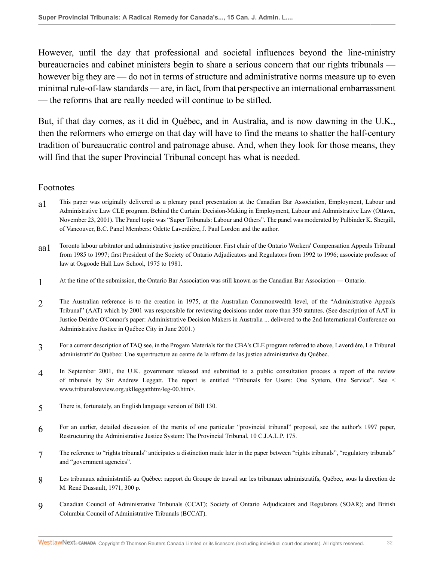However, until the day that professional and societal influences beyond the line-ministry bureaucracies and cabinet ministers begin to share a serious concern that our rights tribunals however big they are — do not in terms of structure and administrative norms measure up to even minimal rule-of-law standards — are, in fact, from that perspective an international embarrassment — the reforms that are really needed will continue to be stifled.

But, if that day comes, as it did in Québec, and in Australia, and is now dawning in the U.K., then the reformers who emerge on that day will have to find the means to shatter the half-century tradition of bureaucratic control and patronage abuse. And, when they look for those means, they will find that the super Provincial Tribunal concept has what is needed.

#### Footnotes

- a1 This paper was originally delivered as a plenary panel presentation at the Canadian Bar Association, Employment, Labour and Administrative Law CLE program. Behind the Curtain: Decision-Making in Employment, Labour and Admnistrative Law (Ottawa, November 23, 2001). The Panel topic was "Super Tribunals: Labour and Others". The panel was moderated by Palbinder K. Shergill, of Vancouver, B.C. Panel Members: Odette Laverdière, J. Paul Lordon and the author.
- aa1 Toronto labour arbitrator and administrative justice practitioner. First chair of the Ontario Workers' Compensation Appeals Tribunal from 1985 to 1997; first President of the Society of Ontario Adjudicators and Regulators from 1992 to 1996; associate professor of law at Osgoode Hall Law School, 1975 to 1981.
- 1 At the time of the submission, the Ontario Bar Association was still known as the Canadian Bar Association — Ontario.
- 2 The Australian reference is to the creation in 1975, at the Australian Commonwealth level, of the "Administrative Appeals Tribunal" (AAT) which by 2001 was responsible for reviewing decisions under more than 350 statutes. (See description of AAT in Justice Deirdre O'Connor's paper: Administrative Decision Makers in Australia ... delivered to the 2nd International Conference on Administrative Justice in Québec City in June 2001.)
- 3 For a current description of TAQ see, in the Progam Materials for the CBA's CLE program referred to above, Laverdière, Le Tribunal administratif du Québec: Une supertructure au centre de la réform de las justice administarive du Québec.
- 4 In September 2001, the U.K. government released and submitted to a public consultation process a report of the review of tribunals by Sir Andrew Leggatt. The report is entitled "Tribunals for Users: One System, One Service". See < www.tribunalsreview.org.uklleggatthtm/leg-00.htm>.
- 5 There is, fortunately, an English language version of Bill 130.
- 6 For an earlier, detailed discussion of the merits of one particular "provincial tribunal" proposal, see the author's 1997 paper, Restructuring the Administrative Justice System: The Provincial Tribunal, 10 C.J.A.L.P. 175.
- 7 The reference to "rights tribunals" anticipates a distinction made later in the paper between "rights tribunals", "regulatory tribunals" and "government agencies".
- 8 Les tribunaux administratifs au Québec: rapport du Groupe de travail sur les tribunaux administratifs, Québec, sous la direction de M. René Dussault, 1971, 300 p.
- 9 Canadian Council of Administrative Tribunals (CCAT); Society of Ontario Adjudicators and Regulators (SOAR); and British Columbia Council of Administrative Tribunals (BCCAT).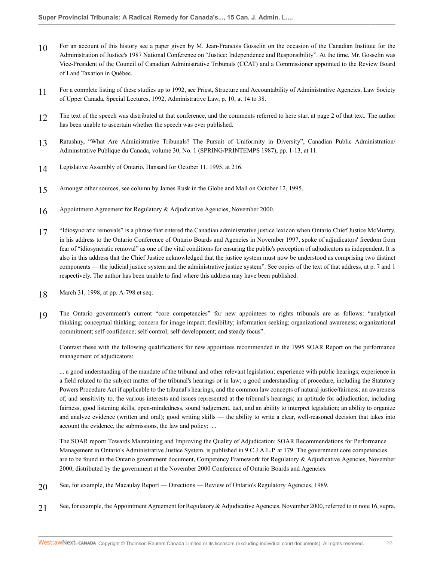- 10 For an account of this history see a paper given by M. Jean-Francois Gosselin on the occasion of the Canadian Institute for the Administration of Justice's 1987 National Conference on "Justice: Independence and Responsibility". At the time, Mr. Gosselin was Vice-President of the Council of Canadian Administrative Tribunals (CCAT) and a Commissioner appointed to the Review Board of Land Taxation in Québec.
- 11 For a complete listing of these studies up to 1992, see Priest, Structure and Accountability of Administrative Agencies, Law Society of Upper Canada, Special Lectures, 1992, Administrative Law, p. 10, at 14 to 38.
- 12 The text of the speech was distributed at that conference, and the comments referred to here start at page 2 of that text. The author has been unable to ascertain whether the speech was ever published.
- 13 Ratushny, "What Are Administrative Tribunals? The Pursuit of Uniformity in Diversity", Canadian Public Administration/ Adminstrative Publique du Canada, volume 30, No. 1 (SPRING/PRINTEMPS 1987), pp. 1-13, at 11.
- 14 Legislative Assembly of Ontario, Hansard for October 11, 1995, at 216.
- 15 Amongst other sources, see column by James Rusk in the Globe and Mail on October 12, 1995.
- 16 Appointment Agreement for Regulatory & Adjudicative Agencies, November 2000.
- 17 "Idiosyncratic removals" is a phrase that entered the Canadian administrative justice lexicon when Ontario Chief Justice McMurtry, in his address to the Ontario Conference of Ontario Boards and Agencies in November 1997, spoke of adjudicators' freedom from fear of "idiosyncratic removal" as one of the vital conditions for ensuring the public's perception of adjudicators as independent. It is also in this address that the Chief Justice acknowledged that the justice system must now be understood as comprising two distinct components — the judicial justice system and the administrative justice system". See copies of the text of that address, at p. 7 and 1 respectively. The author has been unable to find where this address may have been published.
- 18 March 31, 1998, at pp. A-798 et seq.
- 19 The Ontario government's current "core competencies" for new appointees to rights tribunals are as follows: "analytical thinking; conceptual thinking; concern for image impact; flexibility; information seeking; organizational awareness; organizational commitment; self-confidence; self-control; self-development; and steady focus".

Contrast these with the following qualifications for new appointees recommended in the 1995 SOAR Report on the performance management of adjudicators:

... a good understanding of the mandate of the tribunal and other relevant legislation; experience with public hearings; experience in a field related to the subject matter of the tribunal's hearings or in law; a good understanding of procedure, including the Statutory Powers Procedure Act if applicable to the tribunal's hearings, and the common law concepts of natural justice/fairness; an awareness of, and sensitivity to, the various interests and issues represented at the tribunal's hearings; an aptitude for adjudication, including fairness, good listening skills, open-mindedness, sound judgement, tact, and an ability to interpret legislation; an ability to organize and analyze evidence (written and oral); good writing skills — the ability to write a clear, well-reasoned decision that takes into account the evidence, the submissions, the law and policy; ....

The SOAR report: Towards Maintaining and Improving the Quality of Adjudication: SOAR Recommendations for Performance Management in Ontario's Administrative Justice System, is published in 9 C.J.A.L.P. at 179. The government core competencies are to be found in the Ontario government document, Competency Framework for Regulatory & Adjudicative Agencies, November 2000, distributed by the government at the November 2000 Conference of Ontario Boards and Agencies.

- 20 See, for example, the Macaulay Report Directions Review of Ontario's Regulatory Agencies, 1989.
- 21 See, for example, the Appointment Agreement for Regulatory & Adjudicative Agencies, November 2000, referred to in note 16, supra.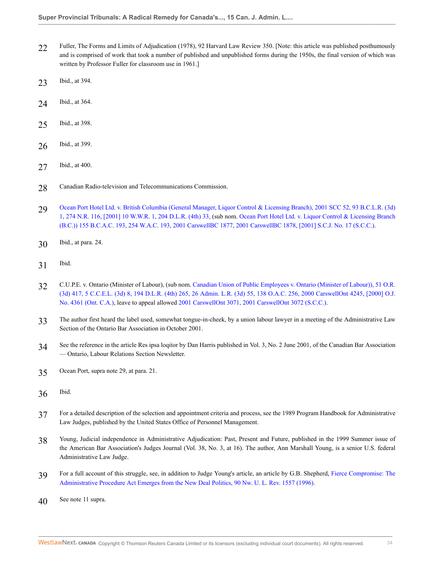- 22 Fuller, The Forms and Limits of Adjudication (1978), 92 Harvard Law Review 350. [Note: this article was published posthumously and is comprised of work that took a number of published and unpublished forms during the 1950s, the final version of which was written by Professor Fuller for classroom use in 1961.]
- 23 Ibid., at 394.
- 24 Ibid., at 364.
- 25 Ibid., at 398.
- 26 Ibid., at 399.
- 27 Ibid., at 400.
- 28 Canadian Radio-television and Telecommunications Commission.
- 29 [Ocean Port Hotel Ltd. v. British Columbia \(General Manager, Liquor Control & Licensing Branch\), 2001 SCC 52, 93 B.C.L.R. \(3d\)](http://nextcanada.westlaw.com/Link/Document/FullText?findType=Y&serNum=2001458743&pubNum=6489&originatingDoc=I73260891436211db876784559e94f880&refType=IC&originationContext=document&vr=3.0&rs=cblt1.0&transitionType=DocumentItem&contextData=(sc.Search)) [1, 274 N.R. 116, \[2001\] 10 W.W.R. 1, 204 D.L.R. \(4th\) 33,](http://nextcanada.westlaw.com/Link/Document/FullText?findType=Y&serNum=2001458743&pubNum=6489&originatingDoc=I73260891436211db876784559e94f880&refType=IC&originationContext=document&vr=3.0&rs=cblt1.0&transitionType=DocumentItem&contextData=(sc.Search)) (sub nom. [Ocean Port Hotel Ltd. v. Liquor Control & Licensing Branch](http://nextcanada.westlaw.com/Link/Document/FullText?findType=Y&serNum=2001458743&pubNum=5417&originatingDoc=I73260891436211db876784559e94f880&refType=IC&originationContext=document&vr=3.0&rs=cblt1.0&transitionType=DocumentItem&contextData=(sc.Search)) [\(B.C.\)\) 155 B.C.A.C. 193, 254 W.A.C. 193, 2001 CarswellBC 1877, 2001 CarswellBC 1878, \[2001\] S.C.J. No. 17 \(S.C.C.\)](http://nextcanada.westlaw.com/Link/Document/FullText?findType=Y&serNum=2001458743&pubNum=5417&originatingDoc=I73260891436211db876784559e94f880&refType=IC&originationContext=document&vr=3.0&rs=cblt1.0&transitionType=DocumentItem&contextData=(sc.Search)).
- 30 Ibid., at para. 24.
- 31 Ibid.
- 32 C.U.P.E. v. Ontario (Minister of Labour), (sub nom. [Canadian Union of Public Employees v. Ontario \(Minister of Labour\)\), 51 O.R.](http://nextcanada.westlaw.com/Link/Document/FullText?findType=Y&serNum=2000667851&pubNum=5506&originatingDoc=I73260891436211db876784559e94f880&refType=IC&originationContext=document&vr=3.0&rs=cblt1.0&transitionType=DocumentItem&contextData=(sc.Search)) [\(3d\) 417, 5 C.C.E.L. \(3d\) 8, 194 D.L.R. \(4th\) 265, 26 Admin. L.R. \(3d\) 55, 138 O.A.C. 256, 2000 CarswellOnt 4245, \[2000\] O.J.](http://nextcanada.westlaw.com/Link/Document/FullText?findType=Y&serNum=2000667851&pubNum=5506&originatingDoc=I73260891436211db876784559e94f880&refType=IC&originationContext=document&vr=3.0&rs=cblt1.0&transitionType=DocumentItem&contextData=(sc.Search)) [No. 4361 \(Ont. C.A.\),](http://nextcanada.westlaw.com/Link/Document/FullText?findType=Y&serNum=2000667851&pubNum=5506&originatingDoc=I73260891436211db876784559e94f880&refType=IC&originationContext=document&vr=3.0&rs=cblt1.0&transitionType=DocumentItem&contextData=(sc.Search)) leave to appeal allowed [2001 CarswellOnt 3071, 2001 CarswellOnt 3072 \(S.C.C.\)](http://nextcanada.westlaw.com/Link/Document/FullText?findType=Y&serNum=2001458515&pubNum=5476&originatingDoc=I73260891436211db876784559e94f880&refType=IC&originationContext=document&vr=3.0&rs=cblt1.0&transitionType=DocumentItem&contextData=(sc.Search)).
- 33 The author first heard the label used, somewhat tongue-in-cheek, by a union labour lawyer in a meeting of the Administrative Law Section of the Ontario Bar Association in October 2001.
- 34 See the reference in the article Res ipsa loqitor by Dan Harris published in Vol. 3, No. 2 June 2001, of the Canadian Bar Association — Ontario, Labour Relations Section Newsletter.
- 35 Ocean Port, supra note 29, at para. 21.
- 36 Ibid.
- 37 For a detailed description of the selection and appointment criteria and process, see the 1989 Program Handbook for Administrative Law Judges, published by the United States Office of Personnel Management.
- 38 Young, Judicial independence in Administrative Adjudication: Past, Present and Future, published in the 1999 Summer issue of the American Bar Association's Judges Journal (Vol. 38, No. 3, at 16). The author, Ann Marshall Young, is a senior U.S. federal Administrative Law Judge.
- 39 For a full account of this struggle, see, in addition to Judge Young's article, an article by G.B. Shepherd, [Fierce Compromise: The](http://nextcanada.westlaw.com/Link/Document/FullText?findType=Y&serNum=0106630155&pubNum=1214&originatingDoc=I73260891436211db876784559e94f880&refType=LR&originationContext=document&vr=3.0&rs=cblt1.0&transitionType=DocumentItem&contextData=(sc.Search)) [Administrative Procedure Act Emerges from the New Deal Politics, 90 Nw. U. L. Rev. 1557 \(1996\)](http://nextcanada.westlaw.com/Link/Document/FullText?findType=Y&serNum=0106630155&pubNum=1214&originatingDoc=I73260891436211db876784559e94f880&refType=LR&originationContext=document&vr=3.0&rs=cblt1.0&transitionType=DocumentItem&contextData=(sc.Search)).
- 40 See note 11 supra.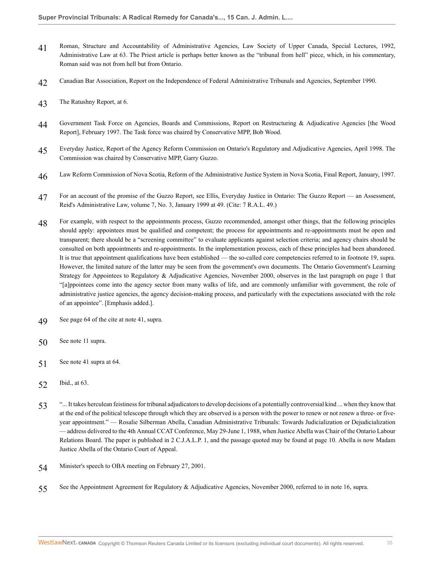- 41 Roman, Structure and Accountability of Administrative Agencies, Law Society of Upper Canada, Special Lectures, 1992, Administrative Law at 63. The Priest article is perhaps better known as the "tribunal from hell" piece, which, in his commentary, Roman said was not from hell but from Ontario.
- 42 Canadian Bar Association, Report on the Independence of Federal Administrative Tribunals and Agencies, September 1990.
- 43 The Ratushny Report, at 6.
- 44 Government Task Force on Agencies, Boards and Commissions, Report on Restructuring & Adjudicative Agencies [the Wood Report], February 1997. The Task force was chaired by Conservative MPP, Bob Wood.
- 45 Everyday Justice, Report of the Agency Reform Commission on Ontario's Regulatory and Adjudicative Agencies, April 1998. The Commission was chaired by Conservative MPP, Garry Guzzo.
- 46 Law Reform Commission of Nova Scotia, Reform of the Administrative Justice System in Nova Scotia, Final Report, January, 1997.
- 47 For an account of the promise of the Guzzo Report, see Ellis, Everyday Justice in Ontario: The Guzzo Report an Assessment, Reid's Administrative Law, volume 7, No. 3, January 1999 at 49. (Cite: 7 R.A.L. 49.)
- 48 For example, with respect to the appointments process, Guzzo recommended, amongst other things, that the following principles should apply: appointees must be qualified and competent; the process for appointments and re-appointments must be open and transparent; there should be a "screening committee" to evaluate applicants against selection criteria; and agency chairs should be consulted on both appointments and re-appointments. In the implementation process, each of these principles had been abandoned. It is true that appointment qualifications have been established — the so-called core competencies referred to in footnote 19, supra. However, the limited nature of the latter may be seen from the government's own documents. The Ontario Government's Learning Strategy for Appointees to Regulatory & Adjudicative Agencies, November 2000, observes in the last paragraph on page 1 that "[a]ppointees come into the agency sector from many walks of life, and are commonly unfamiliar with government, the role of administrative justice agencies, the agency decision-making process, and particularly with the expectations associated with the role of an appointee". [Emphasis added.].
- 49 See page 64 of the cite at note 41, supra.
- 50 See note 11 supra.
- 51 See note 41 supra at 64.
- 52 Ibid., at 63.
- 53 "... It takes herculean feistiness for tribunal adjudicators to develop decisions of a potentially controversial kind ... when they know that at the end of the political telescope through which they are observed is a person with the power to renew or not renew a three- or fiveyear appointment." — Rosalie Silberman Abella, Canadian Administrative Tribunals: Towards Judicialization or Dejudicialization — address delivered to the 4th Annual CCAT Conference, May 29-June 1, 1988, when Justice Abella was Chair of the Ontario Labour Relations Board. The paper is published in 2 C.J.A.L.P. 1, and the passage quoted may be found at page 10. Abella is now Madam Justice Abella of the Ontario Court of Appeal.
- 54 Minister's speech to OBA meeting on February 27, 2001.
- 55 See the Appointment Agreement for Regulatory & Adjudicative Agencies, November 2000, referred to in note 16, supra.